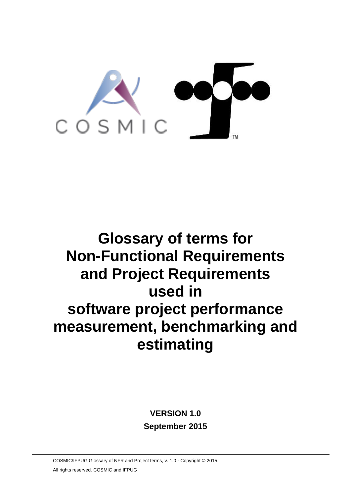

# **Glossary of terms for Non-Functional Requirements and Project Requirements used in software project performance measurement, benchmarking and estimating**

# **VERSION 1.0 September 2015**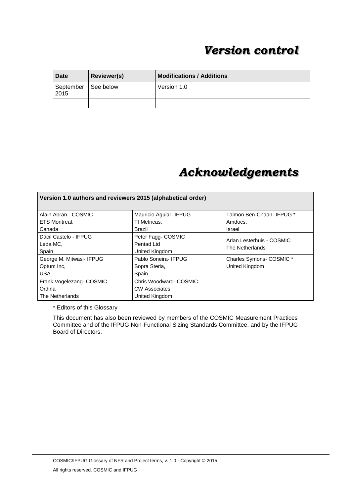| Date              | <b>Reviewer(s)</b> | <b>Modifications / Additions</b> |
|-------------------|--------------------|----------------------------------|
| September<br>2015 | <b>∣See below</b>  | Version 1.0                      |
|                   |                    |                                  |

# *Acknowledgements*

| Version 1.0 authors and reviewers 2015 (alphabetical order) |                                                                 |                                              |  |
|-------------------------------------------------------------|-----------------------------------------------------------------|----------------------------------------------|--|
| Alain Abran - COSMIC                                        | Mauricio Aguiar- IFPUG                                          | Talmon Ben-Cnaan-IFPUG *                     |  |
| ETS Montreal,                                               | TI Metricas,                                                    | Amdocs,                                      |  |
| Canada                                                      | Brazil                                                          | Israel                                       |  |
| Dácil Castelo - IFPUG<br>Leda MC,<br>Spain                  | Peter Fagg- COSMIC<br>Pentad Ltd<br>United Kingdom              | Arlan Lesterhuis - COSMIC<br>The Netherlands |  |
| George M. Mitwasi- IFPUG<br>Optum Inc,<br><b>USA</b>        | Pablo Soneira- IFPUG<br>Sopra Steria,<br>Spain                  | Charles Symons- COSMIC *<br>United Kingdom   |  |
| Frank Vogelezang- COSMIC<br>Ordina<br>The Netherlands       | Chris Woodward-COSMIC<br><b>CW Associates</b><br>United Kingdom |                                              |  |

\* Editors of this Glossary

This document has also been reviewed by members of the COSMIC Measurement Practices Committee and of the IFPUG Non-Functional Sizing Standards Committee, and by the IFPUG Board of Directors.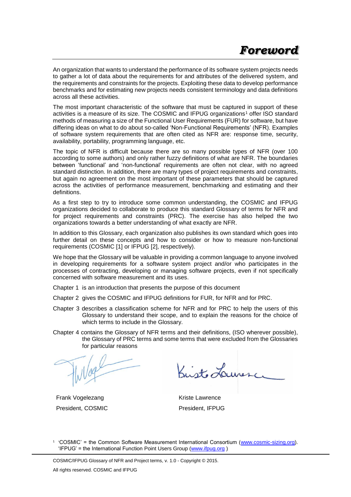An organization that wants to understand the performance of its software system projects needs to gather a lot of data about the requirements for and attributes of the delivered system, and the requirements and constraints for the projects. Exploiting these data to develop performance benchmarks and for estimating new projects needs consistent terminology and data definitions across all these activities.

The most important characteristic of the software that must be captured in support of these activities is a measure of its size. The COSMIC and IFPUG organizations<sup>1</sup> offer ISO standard methods of measuring a size of the Functional User Requirements (FUR) for software, but have differing ideas on what to do about so-called 'Non-Functional Requirements' (NFR). Examples of software system requirements that are often cited as NFR are: response time, security, availability, portability, programming language, etc.

The topic of NFR is difficult because there are so many possible types of NFR (over 100 according to some authors) and only rather fuzzy definitions of what are NFR. The boundaries between 'functional' and 'non-functional' requirements are often not clear, with no agreed standard distinction. In addition, there are many types of project requirements and constraints, but again no agreement on the most important of these parameters that should be captured across the activities of performance measurement, benchmarking and estimating and their definitions.

As a first step to try to introduce some common understanding, the COSMIC and IFPUG organizations decided to collaborate to produce this standard Glossary of terms for NFR and for project requirements and constraints (PRC). The exercise has also helped the two organizations towards a better understanding of what exactly are NFR.

In addition to this Glossary, each organization also publishes its own standard which goes into further detail on these concepts and how to consider or how to measure non-functional requirements (COSMIC [1] or IFPUG [2], respectively).

We hope that the Glossary will be valuable in providing a common language to anyone involved in developing requirements for a software system project and/or who participates in the processes of contracting, developing or managing software projects, even if not specifically concerned with software measurement and its uses.

- Chapter 1 is an introduction that presents the purpose of this document
- Chapter 2 gives the COSMIC and IFPUG definitions for FUR, for NFR and for PRC.
- Chapter 3 describes a classification scheme for NFR and for PRC to help the users of this Glossary to understand their scope, and to explain the reasons for the choice of which terms to include in the Glossary.
- Chapter 4 contains the Glossary of NFR terms and their definitions, (ISO wherever possible), the Glossary of PRC terms and some terms that were excluded from the Glossaries for particular reasons

Frank Vogelezang President, COSMIC

Krist Lauresc

Kriste Lawrence President, IFPUG

<sup>1</sup> 'COSMIC' = the Common Software Measurement International Consortium [\(www.cosmic-sizing.org\)](http://www.cosmic-sizing.org/). 'IFPUG' = the International Function Point Users Group [\(www.ifpug.org](http://www.ifpug.org/) )

COSMIC/IFPUG Glossary of NFR and Project terms, v. 1.0 - Copyright © 2015. All rights reserved. COSMIC and IFPUG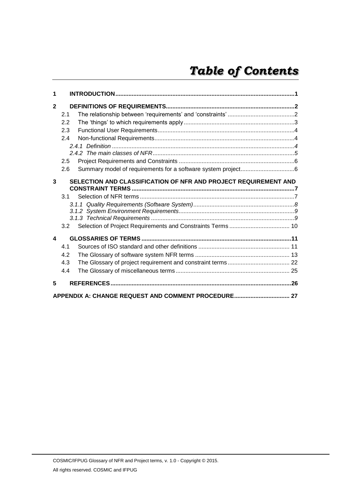| 1              |     |                                                                 |  |
|----------------|-----|-----------------------------------------------------------------|--|
| $\overline{2}$ |     |                                                                 |  |
|                | 2.1 |                                                                 |  |
|                | 2.2 |                                                                 |  |
|                | 2.3 |                                                                 |  |
|                | 2.4 |                                                                 |  |
|                |     |                                                                 |  |
|                |     |                                                                 |  |
|                | 2.5 |                                                                 |  |
|                | 2.6 |                                                                 |  |
| 3              |     | SELECTION AND CLASSIFICATION OF NFR AND PROJECT REQUIREMENT AND |  |
|                | 3.1 |                                                                 |  |
|                |     |                                                                 |  |
|                |     |                                                                 |  |
|                |     |                                                                 |  |
|                | 3.2 |                                                                 |  |
| 4              |     |                                                                 |  |
|                | 4.1 |                                                                 |  |
|                | 4.2 |                                                                 |  |
|                | 4.3 |                                                                 |  |
|                | 4.4 |                                                                 |  |
| 5              |     |                                                                 |  |
|                |     | APPENDIX A: CHANGE REQUEST AND COMMENT PROCEDURE 27             |  |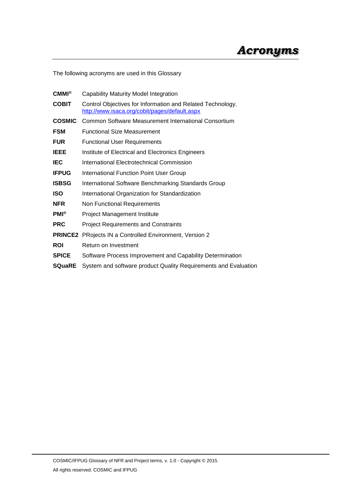The following acronyms are used in this Glossary

| $CMMI^{\circledR}$ | Capability Maturity Model Integration                                                                       |  |  |
|--------------------|-------------------------------------------------------------------------------------------------------------|--|--|
| <b>COBIT</b>       | Control Objectives for Information and Related Technology,<br>http://www.isaca.org/cobit/pages/default.aspx |  |  |
| <b>COSMIC</b>      | <b>Common Software Measurement International Consortium</b>                                                 |  |  |
| <b>FSM</b>         | <b>Functional Size Measurement</b>                                                                          |  |  |
| <b>FUR</b>         | <b>Functional User Requirements</b>                                                                         |  |  |
| <b>IEEE</b>        | Institute of Electrical and Electronics Engineers                                                           |  |  |
| <b>IEC</b>         | International Electrotechnical Commission                                                                   |  |  |
| <b>IFPUG</b>       | <b>International Function Point User Group</b>                                                              |  |  |
| <b>ISBSG</b>       | International Software Benchmarking Standards Group                                                         |  |  |
| <b>ISO</b>         | International Organization for Standardization                                                              |  |  |
| <b>NFR</b>         | Non Functional Requirements                                                                                 |  |  |
| $PMI^{\circledR}$  | <b>Project Management Institute</b>                                                                         |  |  |
| <b>PRC</b>         | <b>Project Requirements and Constraints</b>                                                                 |  |  |
|                    | <b>PRINCE2</b> PRojects IN a Controlled Environment, Version 2                                              |  |  |
| <b>ROI</b>         | Return on Investment                                                                                        |  |  |
| <b>SPICE</b>       | Software Process Improvement and Capability Determination                                                   |  |  |
| <b>SQuaRE</b>      | System and software product Quality Requirements and Evaluation                                             |  |  |
|                    |                                                                                                             |  |  |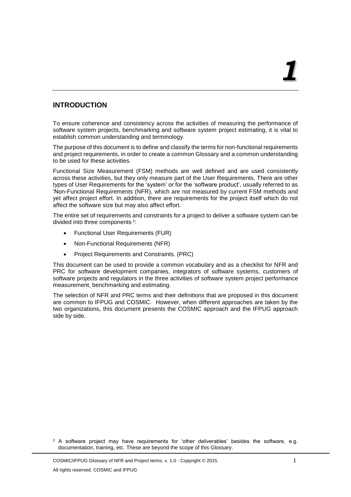# <span id="page-5-0"></span>**INTRODUCTION**

To ensure coherence and consistency across the activities of measuring the performance of software system projects, benchmarking and software system project estimating, it is vital to establish common understanding and terminology.

The purpose of this document is to define and classify the terms for non-functional requirements and project requirements, in order to create a common Glossary and a common understanding to be used for these activities.

Functional Size Measurement (FSM) methods are well defined and are used consistently across these activities, but they only measure part of the User Requirements. There are other types of User Requirements for the 'system' or for the 'software product', usually referred to as 'Non-Functional Requirements (NFR), which are not measured by current FSM methods and yet affect project effort. In addition, there are requirements for the project itself which do not affect the software size but may also affect effort.

The entire set of requirements and constraints for a project to deliver a software system can be divided into three components<sup>2</sup>:

- Functional User Requirements (FUR)
- Non-Functional Requirements (NFR)
- Project Requirements and Constraints. (PRC)

This document can be used to provide a common vocabulary and as a checklist for NFR and PRC for software development companies, integrators of software systems, customers of software projects and regulators in the three activities of software system project performance measurement, benchmarking and estimating.

The selection of NFR and PRC terms and their definitions that are proposed in this document are common to IFPUG and COSMIC. However, when different approaches are taken by the two organizations, this document presents the COSMIC approach and the IFPUG approach side by side.

 $2$  A software project may have requirements for 'other deliverables' besides the software, e.g. documentation, training, etc. These are beyond the scope of this Glossary.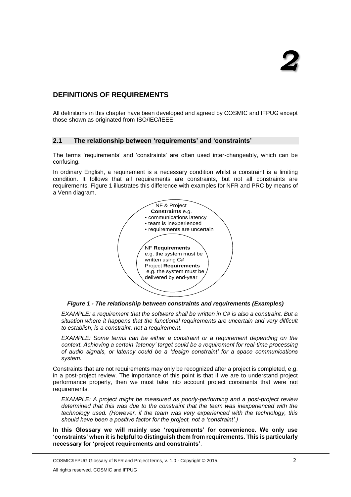# <span id="page-6-0"></span>**DEFINITIONS OF REQUIREMENTS**

All definitions in this chapter have been developed and agreed by COSMIC and IFPUG except those shown as originated from ISO/IEC/IEEE.

#### <span id="page-6-1"></span>**2.1 The relationship between 'requirements' and 'constraints'**

The terms 'requirements' and 'constraints' are often used inter-changeably, which can be confusing.

In ordinary English, a requirement is a necessary condition whilst a constraint is a limiting condition. It follows that all requirements are constraints, but not all constraints are requirements. Figure 1 illustrates this difference with examples for NFR and PRC by means of a Venn diagram.





*EXAMPLE: a requirement that the software shall be written in C# is also a constraint. But a situation where it happens that the functional requirements are uncertain and very difficult to establish, is a constraint, not a requirement.*

*EXAMPLE: Some terms can be either a constraint or a requirement depending on the context. Achieving a certain 'latency' target could be a requirement for real-time processing of audio signals, or latency could be a 'design constraint' for a space communications system.*

Constraints that are not requirements may only be recognized after a project is completed, e.g. in a post-project review. The importance of this point is that if we are to understand project performance properly, then we must take into account project constraints that were not requirements.

*EXAMPLE: A project might be measured as poorly-performing and a post-project review determined that this was due to the constraint that the team was inexperienced with the technology used. (However, if the team was very experienced with the technology, this should have been a positive factor for the project, not a 'constraint'.)*

**In this Glossary we will mainly use 'requirements' for convenience. We only use 'constraints' when it is helpful to distinguish them from requirements. This is particularly necessary for 'project requirements and constraints'**.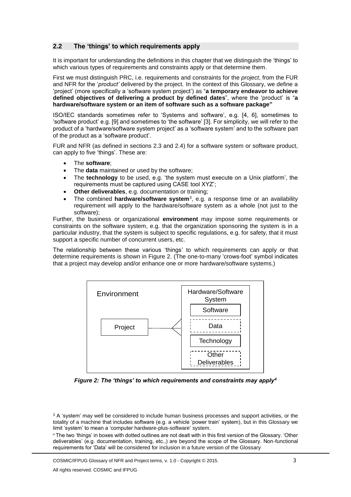#### <span id="page-7-0"></span>**2.2 The 'things' to which requirements apply**

It is important for understanding the definitions in this chapter that we distinguish the 'things' to which various types of requirements and constraints apply or that determine them.

First we must distinguish PRC, i.e. requirements and constraints for the *project*, from the FUR and NFR for the '*product'* delivered by the project. In the context of this Glossary, we define a 'project' (more specifically a 'software system project') as "**a temporary endeavor to achieve defined objectives of delivering a product by defined dates**", where the 'product' is "**a hardware/software system or an item of software such as a software package"**

ISO/IEC standards sometimes refer to 'Systems and software', e.g. [4, 6], sometimes to 'software product' e.g. [9] and sometimes to 'the software' [3]. For simplicity, we will refer to the product of a 'hardware/software system project' as a 'software system' and to the software part of the product as a 'software product'.

FUR and NFR (as defined in sections 2.3 and 2.4) for a software system or software product, can apply to five 'things'. These are:

- The **software**;
- The **data** maintained or used by the software;
- The **technology** to be used, e.g. 'the system must execute on a Unix platform', the requirements must be captured using CASE tool XYZ';
- **Other deliverables**, e.g. documentation or training;
- The combined **hardware/software system**<sup>3</sup> , e.g. a response time or an availability requirement will apply to the hardware/software system as a whole (not just to the software);

Further, the business or organizational **environment** may impose some requirements or constraints on the software system, e.g. that the organization sponsoring the system is in a particular industry, that the system is subject to specific regulations, e.g. for safety, that it must support a specific number of concurrent users, etc.

The relationship between these various 'things' to which requirements can apply or that determine requirements is shown in Figure 2. (The one-to-many 'crows-foot' symbol indicates that a project may develop and/or enhance one or more hardware/software systems.)



*Figure 2: The 'things' to which requirements and constraints may apply<sup>4</sup>*

<sup>4</sup> The two 'things' in boxes with dotted outlines are not dealt with in this first version of the Glossary. 'Other deliverables' (e.g. documentation, training, etc.,) are beyond the scope of the Glossary. Non-functional requirements for 'Data' will be considered for inclusion in a future version of the Glossary

COSMIC/IFPUG Glossary of NFR and Project terms, v. 1.0 - Copyright © 2015. 3

<sup>&</sup>lt;sup>3</sup> A 'system' may well be considered to include human business processes and support activities, or the totality of a machine that includes software (e.g. a vehicle 'power train' system), but in this Glossary we limit 'system' to mean a 'computer hardware-plus-software' system.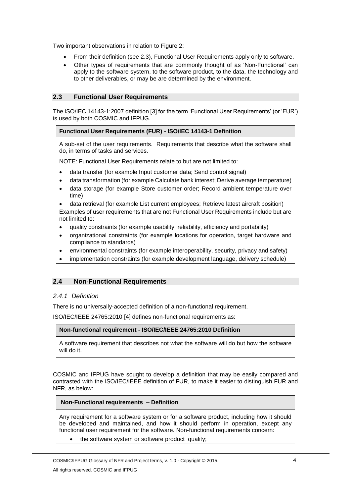Two important observations in relation to Figure 2:

- From their definition (see 2.3), Functional User Requirements apply only to software.
- Other types of requirements that are commonly thought of as 'Non-Functional' can apply to the software system, to the software product, to the data, the technology and to other deliverables, or may be are determined by the environment.

#### <span id="page-8-0"></span>**2.3 Functional User Requirements**

The ISO/IEC 14143-1:2007 definition [3] for the term 'Functional User Requirements' (or 'FUR') is used by both COSMIC and IFPUG.

#### **Functional User Requirements (FUR) - ISO/IEC 14143-1 Definition**

A sub-set of the user requirements. Requirements that describe what the software shall do, in terms of tasks and services.

NOTE: Functional User Requirements relate to but are not limited to:

- data transfer (for example Input customer data; Send control signal)
- data transformation (for example Calculate bank interest; Derive average temperature)
- data storage (for example Store customer order; Record ambient temperature over time)
- data retrieval (for example List current employees; Retrieve latest aircraft position)
- Examples of user requirements that are not Functional User Requirements include but are not limited to:
- quality constraints (for example usability, reliability, efficiency and portability)
- organizational constraints (for example locations for operation, target hardware and compliance to standards)
- environmental constraints (for example interoperability, security, privacy and safety)
- implementation constraints (for example development language, delivery schedule)

#### <span id="page-8-1"></span>**2.4 Non-Functional Requirements**

#### <span id="page-8-2"></span>*2.4.1 Definition*

There is no universally-accepted definition of a non-functional requirement.

ISO/IEC/IEEE 24765:2010 [4] defines non-functional requirements as:

#### **Non-functional requirement - ISO/IEC/IEEE 24765:2010 Definition**

A software requirement that describes not what the software will do but how the software will do it.

COSMIC and IFPUG have sought to develop a definition that may be easily compared and contrasted with the ISO/IEC/IEEE definition of FUR, to make it easier to distinguish FUR and NFR, as below:

#### **Non-Functional requirements – Definition**

Any requirement for a software system or for a software product, including how it should be developed and maintained, and how it should perform in operation, except any functional user requirement for the software. Non-functional requirements concern:

• the software system or software product quality;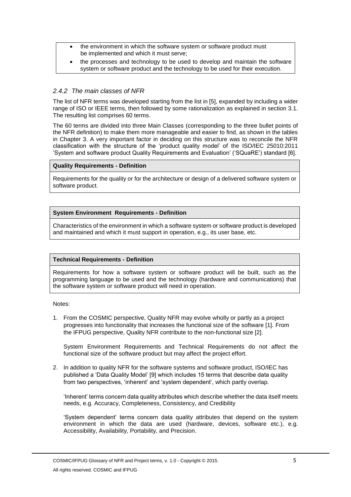- the environment in which the software system or software product must be implemented and which it must serve;
- the processes and technology to be used to develop and maintain the software system or software product and the technology to be used for their execution.

### <span id="page-9-0"></span>*2.4.2 The main classes of NFR*

The list of NFR terms was developed starting from the list in [5], expanded by including a wider range of ISO or IEEE terms, then followed by some rationalization as explained in section 3.1. The resulting list comprises 60 terms.

The 60 terms are divided into three Main Classes (corresponding to the three bullet points of the NFR definition) to make them more manageable and easier to find, as shown in the tables in Chapter 3. A very important factor in deciding on this structure was to reconcile the NFR classification with the structure of the 'product quality model' of the ISO/IEC 25010:2011 'System and software product Quality Requirements and Evaluation' ('SQuaRE') standard [6].

#### **Quality Requirements - Definition**

Requirements for the quality or for the architecture or design of a delivered software system or software product.

#### **System Environment Requirements - Definition**

Characteristics of the environment in which a software system or software product is developed and maintained and which it must support in operation, e.g., its user base, etc.

#### **Technical Requirements - Definition**

Requirements for how a software system or software product will be built, such as the programming language to be used and the technology (hardware and communications) that the software system or software product will need in operation.

Notes:

1. From the COSMIC perspective, Quality NFR may evolve wholly or partly as a project progresses into functionality that increases the functional size of the software [1]. From the IFPUG perspective, Quality NFR contribute to the non-functional size [2].

System Environment Requirements and Technical Requirements do not affect the functional size of the software product but may affect the project effort.

2. In addition to quality NFR for the software systems and software product, ISO/IEC has published a 'Data Quality Model' [9] which includes 15 terms that describe data quality from two perspectives, 'inherent' and 'system dependent', which partly overlap.

'Inherent' terms concern data quality attributes which describe whether the data itself meets needs, e.g. Accuracy, Completeness, Consistency, and Credibility

'System dependent' terms concern data quality attributes that depend on the system environment in which the data are used (hardware, devices, software etc.), e.g. Accessibility, Availability, Portability, and Precision.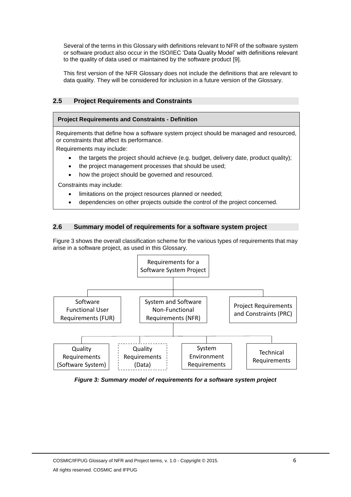Several of the terms in this Glossary with definitions relevant to NFR of the software system or software product also occur in the ISO/IEC 'Data Quality Model' with definitions relevant to the quality of data used or maintained by the software product [9].

This first version of the NFR Glossary does not include the definitions that are relevant to data quality. They will be considered for inclusion in a future version of the Glossary.

# <span id="page-10-0"></span>**2.5 Project Requirements and Constraints**

#### **Project Requirements and Constraints - Definition**

Requirements that define how a software system project should be managed and resourced, or constraints that affect its performance.

Requirements may include:

- the targets the project should achieve (e.g. budget, delivery date, product quality);
- the project management processes that should be used;
- how the project should be governed and resourced.

Constraints may include:

- limitations on the project resources planned or needed;
- dependencies on other projects outside the control of the project concerned.

#### <span id="page-10-1"></span>**2.6 Summary model of requirements for a software system project**

Figure 3 shows the overall classification scheme for the various types of requirements that may arise in a software project, as used in this Glossary.



*Figure 3: Summary model of requirements for a software system project*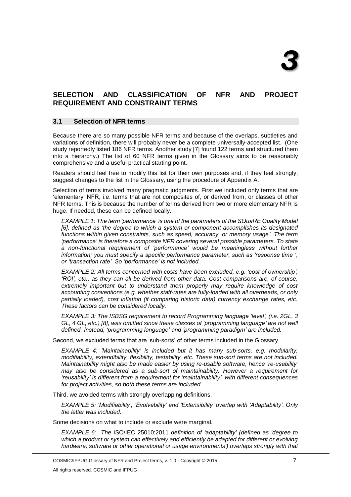# <span id="page-11-0"></span>**SELECTION AND CLASSIFICATION OF NFR AND PROJECT REQUIREMENT AND CONSTRAINT TERMS**

#### <span id="page-11-1"></span>**3.1 Selection of NFR terms**

Because there are so many possible NFR terms and because of the overlaps, subtleties and variations of definition, there will probably never be a complete universally-accepted list. (One study reportedly listed 186 NFR terms. Another study [7] found 122 terms and structured them into a hierarchy.) The list of 60 NFR terms given in the Glossary aims to be reasonably comprehensive and a useful practical starting point.

Readers should feel free to modify this list for their own purposes and, if they feel strongly, suggest changes to the list in the Glossary, using the procedure of Appendix A.

Selection of terms involved many pragmatic judgments. First we included only terms that are 'elementary' NFR, i.e. terms that are not composites of, or derived from, or classes of other NFR terms. This is because the number of terms derived from two or more elementary NFR is huge. If needed, these can be defined locally.

*EXAMPLE 1: The term 'performance' is one of the parameters of the SQuaRE Quality Model [6], defined as 'the degree to which a system or component accomplishes its designated functions within given constraints, such as speed, accuracy, or memory usage'. The term 'performance' is therefore a composite NFR covering several possible parameters. To state a non-functional requirement of 'performance' would be meaningless without further information; you must specify a specific performance parameter, such as 'response time ', or 'transaction rate'. So 'performance' is not included.*

*EXAMPLE 2: All terms concerned with costs have been excluded, e.g. 'cost of ownership', 'ROI', etc., as they can all be derived from other data. Cost comparisons are, of course, extremely important but to understand them properly may require knowledge of cost accounting conventions (e.g. whether staff-rates are fully-loaded with all overheads, or only partially loaded), cost inflation (if comparing historic data) currency exchange rates, etc. These factors can be considered locally.*

*EXAMPLE 3: The ISBSG requirement to record Programming language 'level', (i.e. 2GL. 3 GL, 4 GL, etc.) [8], was omitted since these classes of 'programming language' are not well defined. Instead, 'programming language' and 'programming paradigm' are included.*

Second, we excluded terms that are 'sub-sorts' of other terms included in the Glossary.

*EXAMPLE 4: 'Maintainability' is included but it has many sub-sorts, e.g. modularity, modifiability, extendibility, flexibility, testability, etc. These sub-sort terms are not included. Maintainability might also be made easier by using re-usable software, hence 're-usability' may also be considered as a sub-sort of maintainability. However a requirement for 'reusability' is different from a requirement for 'maintainability', with different consequences for project activities, so both these terms are included.*

Third, we avoided terms with strongly overlapping definitions.

*EXAMPLE 5: 'Modifiability', 'Evolvability' and 'Extensibility' overlap with 'Adaptability'. Only the latter was included.*

Some decisions on what to include or exclude were marginal.

*EXAMPLE 6: The* ISO/IEC 25010:2011 *definition of 'adaptability' (defined as 'degree to which a product or system can effectively and efficiently be adapted for different or evolving hardware, software or other operational or usage environments') overlaps strongly with that*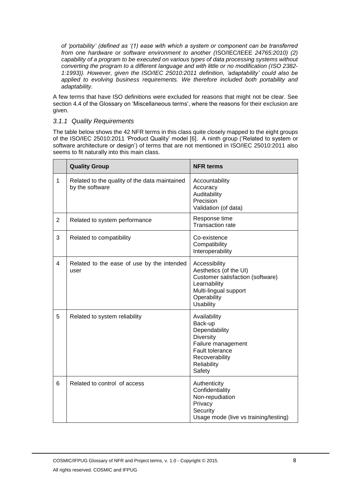*of 'portability' (defined as '(1) ease with which a system or component can be transferred from one hardware or software environment to another (*ISO/IEC/IEEE *24765:2010) (2) capability of a program to be executed on various types of data processing systems without converting the program to a different language and with little or no modification (ISO 2382- 1:1993)). However, given the ISO/IEC 25010:2011 definition, 'adaptability' could also be applied to evolving business requirements. We therefore included both portability and adaptability.*

A few terms that have ISO definitions were excluded for reasons that might not be clear. See section 4.4 of the Glossary on 'Miscellaneous terms', where the reasons for their exclusion are given.

#### <span id="page-12-0"></span>*3.1.1 Quality Requirements*

The table below shows the 42 NFR terms in this class quite closely mapped to the eight groups of the ISO/IEC 25010:2011 'Product Quality' model [6]. A ninth group ('Related to system or software architecture or design') of terms that are not mentioned in ISO/IEC 25010:2011 also seems to fit naturally into this main class.

|                | <b>Quality Group</b>                                             | <b>NFR terms</b>                                                                                                                                        |
|----------------|------------------------------------------------------------------|---------------------------------------------------------------------------------------------------------------------------------------------------------|
| 1              | Related to the quality of the data maintained<br>by the software | Accountability<br>Accuracy<br>Auditability<br>Precision<br>Validation (of data)                                                                         |
| 2              | Related to system performance                                    | Response time<br><b>Transaction rate</b>                                                                                                                |
| 3              | Related to compatibility                                         | Co-existence<br>Compatibility<br>Interoperability                                                                                                       |
| $\overline{4}$ | Related to the ease of use by the intended<br>user               | Accessibility<br>Aesthetics (of the UI)<br>Customer satisfaction (software)<br>Learnability<br>Multi-lingual support<br>Operability<br><b>Usability</b> |
| 5              | Related to system reliability                                    | Availability<br>Back-up<br>Dependability<br><b>Diversity</b><br>Failure management<br>Fault tolerance<br>Recoverability<br>Reliability<br>Safety        |
| 6              | Related to control of access                                     | Authenticity<br>Confidentiality<br>Non-repudiation<br>Privacy<br>Security<br>Usage mode (live vs training/testing)                                      |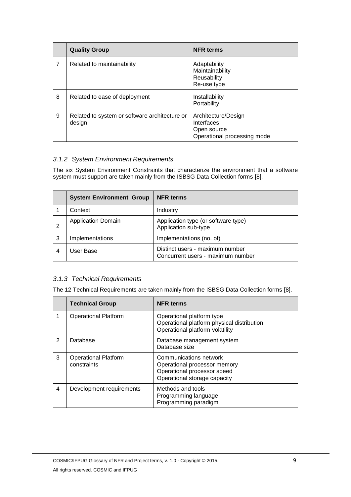|   | <b>Quality Group</b>                                    | <b>NFR terms</b>                                                                |  |
|---|---------------------------------------------------------|---------------------------------------------------------------------------------|--|
| 7 | Related to maintainability                              | Adaptability<br>Maintainability<br>Reusability<br>Re-use type                   |  |
| 8 | Related to ease of deployment                           | Installability<br>Portability                                                   |  |
| 9 | Related to system or software architecture or<br>design | Architecture/Design<br>Interfaces<br>Open source<br>Operational processing mode |  |

# <span id="page-13-0"></span>*3.1.2 System Environment Requirements*

The six System Environment Constraints that characterize the environment that a software system must support are taken mainly from the ISBSG Data Collection forms [8].

|   | <b>System Environment Group</b> | <b>NFR terms</b>                                                     |
|---|---------------------------------|----------------------------------------------------------------------|
|   | Context                         | Industry                                                             |
|   | <b>Application Domain</b>       | Application type (or software type)<br>Application sub-type          |
| 3 | Implementations                 | Implementations (no. of)                                             |
| 4 | User Base                       | Distinct users - maximum number<br>Concurrent users - maximum number |

#### <span id="page-13-1"></span>*3.1.3 Technical Requirements*

The 12 Technical Requirements are taken mainly from the ISBSG Data Collection forms [8].

|   | <b>Technical Group</b>                     | <b>NFR terms</b>                                                                                                      |
|---|--------------------------------------------|-----------------------------------------------------------------------------------------------------------------------|
|   | <b>Operational Platform</b>                | Operational platform type<br>Operational platform physical distribution<br>Operational platform volatility            |
| 2 | Database                                   | Database management system<br>Database size                                                                           |
| 3 | <b>Operational Platform</b><br>constraints | Communications network<br>Operational processor memory<br>Operational processor speed<br>Operational storage capacity |
| 4 | Development requirements                   | Methods and tools<br>Programming language<br>Programming paradigm                                                     |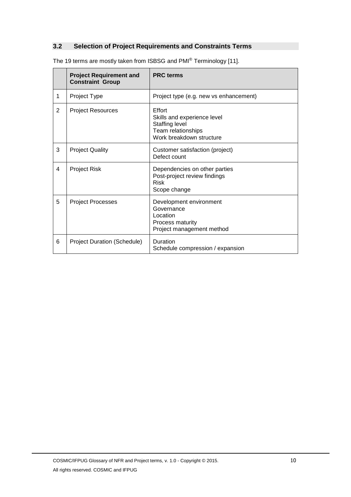# <span id="page-14-0"></span>**3.2 Selection of Project Requirements and Constraints Terms**

|   | <b>Project Requirement and</b><br><b>Constraint Group</b> | <b>PRC</b> terms                                                                                                 |
|---|-----------------------------------------------------------|------------------------------------------------------------------------------------------------------------------|
| 1 | Project Type                                              | Project type (e.g. new vs enhancement)                                                                           |
| 2 | <b>Project Resources</b>                                  | Effort<br>Skills and experience level<br><b>Staffing level</b><br>Team relationships<br>Work breakdown structure |
| 3 | <b>Project Quality</b>                                    | Customer satisfaction (project)<br>Defect count                                                                  |
| 4 | <b>Project Risk</b>                                       | Dependencies on other parties<br>Post-project review findings<br><b>Risk</b><br>Scope change                     |
| 5 | <b>Project Processes</b>                                  | Development environment<br>Governance<br>Location<br>Process maturity<br>Project management method               |
| 6 | <b>Project Duration (Schedule)</b>                        | Duration<br>Schedule compression / expansion                                                                     |

The 19 terms are mostly taken from ISBSG and PMI® Terminology [11].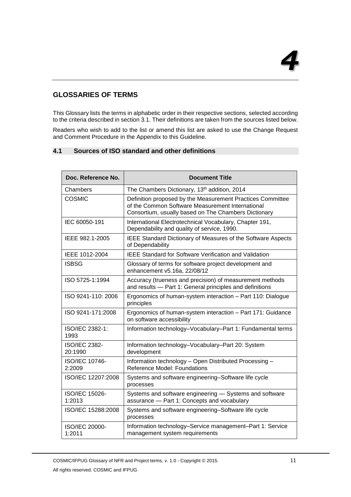# <span id="page-15-0"></span>**GLOSSARIES OF TERMS**

This Glossary lists the terms in alphabetic order in their respective sections, selected according to the criteria described in section 3.1. Their definitions are taken from the sources listed below.

Readers who wish to add to the list or amend this list are asked to use the Change Request and Comment Procedure in the Appendix to this Guideline.

#### <span id="page-15-1"></span>**4.1 Sources of ISO standard and other definitions**

| Doc. Reference No.              | <b>Document Title</b>                                                                                                                                                  |  |
|---------------------------------|------------------------------------------------------------------------------------------------------------------------------------------------------------------------|--|
| Chambers                        | The Chambers Dictionary, 13th addition, 2014                                                                                                                           |  |
| <b>COSMIC</b>                   | Definition proposed by the Measurement Practices Committee<br>of the Common Software Measurement International<br>Consortium, usually based on The Chambers Dictionary |  |
| IEC 60050-191                   | International Electrotechnical Vocabulary, Chapter 191,<br>Dependability and quality of service, 1990.                                                                 |  |
| IEEE 982.1-2005                 | <b>IEEE Standard Dictionary of Measures of the Software Aspects</b><br>of Dependability                                                                                |  |
| IEEE 1012-2004                  | <b>IEEE Standard for Software Verification and Validation</b>                                                                                                          |  |
| <b>ISBSG</b>                    | Glossary of terms for software project development and<br>enhancement v5.16a, 22/08/12                                                                                 |  |
| ISO 5725-1:1994                 | Accuracy (trueness and precision) of measurement methods<br>and results - Part 1: General principles and definitions                                                   |  |
| ISO 9241-110: 2006              | Ergonomics of human-system interaction - Part 110: Dialogue<br>principles                                                                                              |  |
| ISO 9241-171:2008               | Ergonomics of human-system interaction - Part 171: Guidance<br>on software accessibility                                                                               |  |
| ISO/IEC 2382-1:<br>1993         | Information technology-Vocabulary-Part 1: Fundamental terms                                                                                                            |  |
| <b>ISO/IEC 2382-</b><br>20:1990 | Information technology-Vocabulary-Part 20: System<br>development                                                                                                       |  |
| ISO/IEC 10746-<br>2:2009        | Information technology - Open Distributed Processing -<br><b>Reference Model: Foundations</b>                                                                          |  |
| ISO/IEC 12207:2008              | Systems and software engineering-Software life cycle<br>processes                                                                                                      |  |
| ISO/IEC 15026-<br>1:2013        | Systems and software engineering - Systems and software<br>assurance - Part 1: Concepts and vocabulary                                                                 |  |
| ISO/IEC 15288:2008              | Systems and software engineering-Software life cycle<br>processes                                                                                                      |  |
| ISO/IEC 20000-<br>1:2011        | Information technology-Service management-Part 1: Service<br>management system requirements                                                                            |  |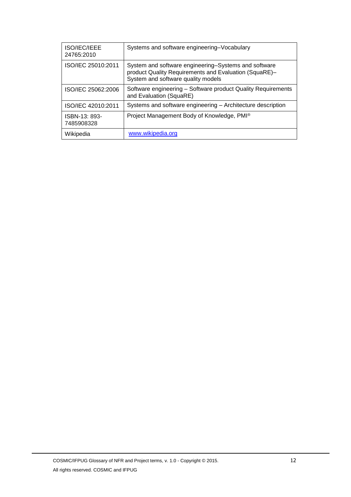| ISO/IEC/IEEE<br>24765:2010  | Systems and software engineering-Vocabulary                                                                                                         |
|-----------------------------|-----------------------------------------------------------------------------------------------------------------------------------------------------|
| ISO/IEC 25010:2011          | System and software engineering–Systems and software<br>product Quality Requirements and Evaluation (SquaRE)-<br>System and software quality models |
| ISO/IEC 25062:2006          | Software engineering - Software product Quality Requirements<br>and Evaluation (SquaRE)                                                             |
| ISO/IEC 42010:2011          | Systems and software engineering - Architecture description                                                                                         |
| ISBN-13: 893-<br>7485908328 | Project Management Body of Knowledge, PMI®                                                                                                          |
| Wikipedia                   | www.wikipedia.org                                                                                                                                   |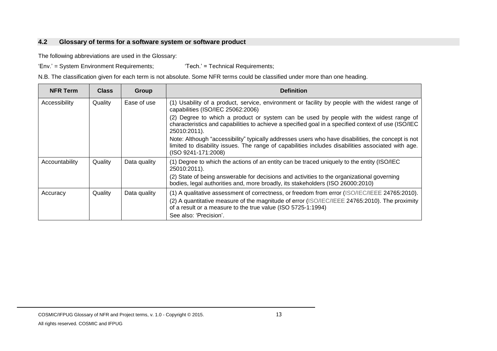# **4.2 Glossary of terms for a software system or software product**

The following abbreviations are used in the Glossary:

'Env.' = System Environment Requirements; 'Tech.' = Technical Requirements;

N.B. The classification given for each term is not absolute. Some NFR terms could be classified under more than one heading.

<span id="page-17-0"></span>

| <b>NFR Term</b> | <b>Class</b> | Group        | <b>Definition</b>                                                                                                                                                                                                                                                                        |
|-----------------|--------------|--------------|------------------------------------------------------------------------------------------------------------------------------------------------------------------------------------------------------------------------------------------------------------------------------------------|
| Accessibility   | Quality      | Ease of use  | (1) Usability of a product, service, environment or facility by people with the widest range of<br>capabilities (ISO/IEC 25062:2006)                                                                                                                                                     |
|                 |              |              | (2) Degree to which a product or system can be used by people with the widest range of<br>characteristics and capabilities to achieve a specified goal in a specified context of use (ISO/IEC<br>25010:2011).                                                                            |
|                 |              |              | Note: Although "accessibility" typically addresses users who have disabilities, the concept is not<br>limited to disability issues. The range of capabilities includes disabilities associated with age.<br>(ISO 9241-171:2008)                                                          |
| Accountability  | Quality      | Data quality | (1) Degree to which the actions of an entity can be traced uniquely to the entity (ISO/IEC<br>25010:2011).                                                                                                                                                                               |
|                 |              |              | (2) State of being answerable for decisions and activities to the organizational governing<br>bodies, legal authorities and, more broadly, its stakeholders (ISO 26000:2010)                                                                                                             |
| Accuracy        | Quality      | Data quality | (1) A qualitative assessment of correctness, or freedom from error (ISO/IEC/IEEE 24765:2010).<br>(2) A quantitative measure of the magnitude of error (ISO/IEC/IEEE 24765:2010). The proximity<br>of a result or a measure to the true value (ISO 5725-1:1994)<br>See also: 'Precision'. |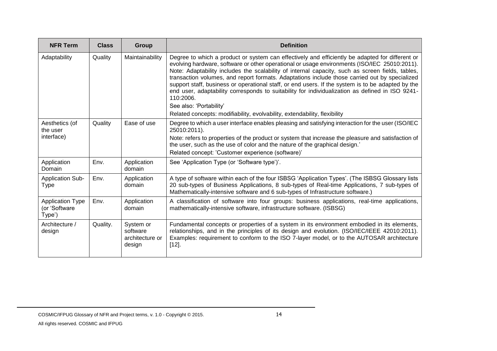| <b>NFR Term</b>                                    | <b>Class</b> | Group                                              | <b>Definition</b>                                                                                                                                                                                                                                                                                                                                                                                                                                                                                                                                                                                                                                                                                                                 |
|----------------------------------------------------|--------------|----------------------------------------------------|-----------------------------------------------------------------------------------------------------------------------------------------------------------------------------------------------------------------------------------------------------------------------------------------------------------------------------------------------------------------------------------------------------------------------------------------------------------------------------------------------------------------------------------------------------------------------------------------------------------------------------------------------------------------------------------------------------------------------------------|
| Adaptability                                       | Quality      | Maintainability                                    | Degree to which a product or system can effectively and efficiently be adapted for different or<br>evolving hardware, software or other operational or usage environments (ISO/IEC 25010:2011).<br>Note: Adaptability includes the scalability of internal capacity, such as screen fields, tables,<br>transaction volumes, and report formats. Adaptations include those carried out by specialized<br>support staff, business or operational staff, or end users. If the system is to be adapted by the<br>end user, adaptability corresponds to suitability for individualization as defined in ISO 9241-<br>110:2006.<br>See also: 'Portability'<br>Related concepts: modifiability, evolvability, extendability, flexibility |
| Aesthetics (of<br>the user<br>interface)           | Quality      | Ease of use                                        | Degree to which a user interface enables pleasing and satisfying interaction for the user (ISO/IEC<br>25010:2011).<br>Note: refers to properties of the product or system that increase the pleasure and satisfaction of<br>the user, such as the use of color and the nature of the graphical design.'<br>Related concept: 'Customer experience (software)'                                                                                                                                                                                                                                                                                                                                                                      |
| Application<br>Domain                              | Env.         | Application<br>domain                              | See 'Application Type (or 'Software type')'.                                                                                                                                                                                                                                                                                                                                                                                                                                                                                                                                                                                                                                                                                      |
| <b>Application Sub-</b><br><b>Type</b>             | Env.         | Application<br>domain                              | A type of software within each of the four ISBSG 'Application Types'. (The ISBSG Glossary lists<br>20 sub-types of Business Applications, 8 sub-types of Real-time Applications, 7 sub-types of<br>Mathematically-intensive software and 6 sub-types of Infrastructure software.)                                                                                                                                                                                                                                                                                                                                                                                                                                                 |
| <b>Application Type</b><br>(or 'Software<br>Type') | Env.         | Application<br>domain                              | A classification of software into four groups: business applications, real-time applications,<br>mathematically-intensive software, infrastructure software. (ISBSG)                                                                                                                                                                                                                                                                                                                                                                                                                                                                                                                                                              |
| Architecture /<br>design                           | Quality.     | System or<br>software<br>architecture or<br>design | Fundamental concepts or properties of a system in its environment embodied in its elements,<br>relationships, and in the principles of its design and evolution. (ISO/IEC/IEEE 42010:2011).<br>Examples: requirement to conform to the ISO 7-layer model, or to the AUTOSAR architecture<br>[12]                                                                                                                                                                                                                                                                                                                                                                                                                                  |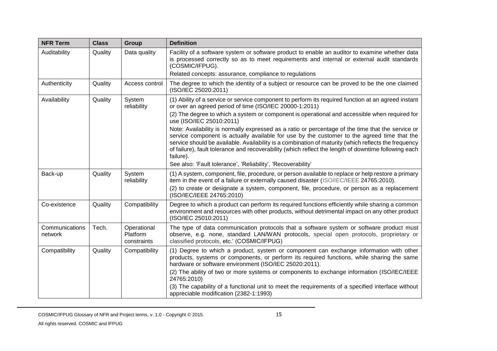| <b>NFR Term</b>           | <b>Class</b> | Group                                  | <b>Definition</b>                                                                                                                                                                                                                                                                                                                                                                                                             |
|---------------------------|--------------|----------------------------------------|-------------------------------------------------------------------------------------------------------------------------------------------------------------------------------------------------------------------------------------------------------------------------------------------------------------------------------------------------------------------------------------------------------------------------------|
| Auditability              | Quality      | Data quality                           | Facility of a software system or software product to enable an auditor to examine whether data<br>is processed correctly so as to meet requirements and internal or external audit standards<br>(COSMIC/IFPUG).                                                                                                                                                                                                               |
|                           |              |                                        | Related concepts: assurance, compliance to regulations                                                                                                                                                                                                                                                                                                                                                                        |
| Authenticity              | Quality      | Access control                         | The degree to which the identity of a subject or resource can be proved to be the one claimed<br>(ISO/IEC 25020:2011)                                                                                                                                                                                                                                                                                                         |
| Availability              | Quality      | System<br>reliability                  | (1) Ability of a service or service component to perform its required function at an agreed instant<br>or over an agreed period of time (ISO/IEC 20000-1:2011)                                                                                                                                                                                                                                                                |
|                           |              |                                        | (2) The degree to which a system or component is operational and accessible when required for<br>use (ISO/IEC 25010:2011)                                                                                                                                                                                                                                                                                                     |
|                           |              |                                        | Note: Availability is normally expressed as a ratio or percentage of the time that the service or<br>service component is actually available for use by the customer to the agreed time that the<br>service should be available. Availability is a combination of maturity (which reflects the frequency<br>of failure), fault tolerance and recoverability (which reflect the length of downtime following each<br>failure). |
|                           |              |                                        | See also: 'Fault tolerance', 'Reliability', 'Recoverability'                                                                                                                                                                                                                                                                                                                                                                  |
| Back-up                   | Quality      | System<br>reliability                  | (1) A system, component, file, procedure, or person available to replace or help restore a primary<br>item in the event of a failure or externally caused disaster (ISO/IEC/IEEE 24765:2010).                                                                                                                                                                                                                                 |
|                           |              |                                        | (2) to create or designate a system, component, file, procedure, or person as a replacement<br>(ISO/IEC/IEEE 24765:2010)                                                                                                                                                                                                                                                                                                      |
| Co-existence              | Quality      | Compatibility                          | Degree to which a product can perform its required functions efficiently while sharing a common<br>environment and resources with other products, without detrimental impact on any other product<br>(ISO/IEC 25010:2011)                                                                                                                                                                                                     |
| Communications<br>network | Tech.        | Operational<br>Platform<br>constraints | The type of data communication protocols that a software system or software product must<br>observe, e.g. none, standard LAN/WAN protocols, special open protocols, proprietary or<br>classified protocols, etc.' (COSMIC/IFPUG)                                                                                                                                                                                              |
| Compatibility             | Quality      | Compatibility                          | (1) Degree to which a product, system or component can exchange information with other<br>products, systems or components, or perform its required functions, while sharing the same<br>hardware or software environment (ISO/IEC 25020:2011).                                                                                                                                                                                |
|                           |              |                                        | (2) The ability of two or more systems or components to exchange information (ISO/IEC/IEEE<br>24765:2010)                                                                                                                                                                                                                                                                                                                     |
|                           |              |                                        | (3) The capability of a functional unit to meet the requirements of a specified interface without<br>appreciable modification (2382-1:1993)                                                                                                                                                                                                                                                                                   |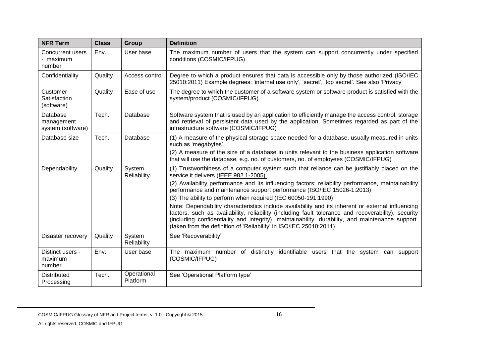| <b>NFR Term</b>                             | <b>Class</b> | Group                   | <b>Definition</b>                                                                                                                                                                                                                                                                                                                                                                                                                                                                                                                                                                                                                                                                                                                                                             |
|---------------------------------------------|--------------|-------------------------|-------------------------------------------------------------------------------------------------------------------------------------------------------------------------------------------------------------------------------------------------------------------------------------------------------------------------------------------------------------------------------------------------------------------------------------------------------------------------------------------------------------------------------------------------------------------------------------------------------------------------------------------------------------------------------------------------------------------------------------------------------------------------------|
| Concurrent users<br>- maximum<br>number     | Env.         | User base               | The maximum number of users that the system can support concurrently under specified<br>conditions (COSMIC/IFPUG)                                                                                                                                                                                                                                                                                                                                                                                                                                                                                                                                                                                                                                                             |
| Confidentiality                             | Quality      | Access control          | Degree to which a product ensures that data is accessible only by those authorized (ISO/IEC<br>25010:2011) Example degrees: 'internal use only', 'secret', 'top secret'. See also 'Privacy'                                                                                                                                                                                                                                                                                                                                                                                                                                                                                                                                                                                   |
| Customer<br>Satisfaction<br>(software)      | Quality      | Ease of use             | The degree to which the customer of a software system or software product is satisfied with the<br>system/product (COSMIC/IFPUG)                                                                                                                                                                                                                                                                                                                                                                                                                                                                                                                                                                                                                                              |
| Database<br>management<br>system (software) | Tech.        | Database                | Software system that is used by an application to efficiently manage the access control, storage<br>and retrieval of persistent data used by the application. Sometimes regarded as part of the<br>infrastructure software (COSMIC/IFPUG)                                                                                                                                                                                                                                                                                                                                                                                                                                                                                                                                     |
| Database size                               | Tech.        | Database                | (1) A measure of the physical storage space needed for a database, usually measured in units<br>such as 'megabytes'.<br>(2) A measure of the size of a database in units relevant to the business application software<br>that will use the database, e.g. no. of customers, no. of employees (COSMIC/IFPUG)                                                                                                                                                                                                                                                                                                                                                                                                                                                                  |
| Dependability                               | Quality      | System<br>Reliability   | (1) Trustworthiness of a computer system such that reliance can be justifiably placed on the<br>service it delivers (IEEE 982.1-2005).<br>(2) Availability performance and its influencing factors: reliability performance, maintainability<br>performance and maintenance support performance (ISO/IEC 15026-1:2013)<br>(3) The ability to perform when required (IEC 60050-191:1990)<br>Note: Dependability characteristics include availability and its inherent or external influencing<br>factors, such as availability, reliability (including fault tolerance and recoverability), security<br>(including confidentiality and integrity), maintainability, durability, and maintenance support.<br>(taken from the definition of 'Reliability' in ISO/IEC 25010:2011) |
| Disaster recovery                           | Quality      | System<br>Reliability   | See 'Recoverability"                                                                                                                                                                                                                                                                                                                                                                                                                                                                                                                                                                                                                                                                                                                                                          |
| Distinct users -<br>maximum<br>number       | Env.         | User base               | The maximum number of distinctly identifiable users that the system can support<br>(COSMIC/IFPUG)                                                                                                                                                                                                                                                                                                                                                                                                                                                                                                                                                                                                                                                                             |
| <b>Distributed</b><br>Processing            | Tech.        | Operational<br>Platform | See 'Operational Platform type'                                                                                                                                                                                                                                                                                                                                                                                                                                                                                                                                                                                                                                                                                                                                               |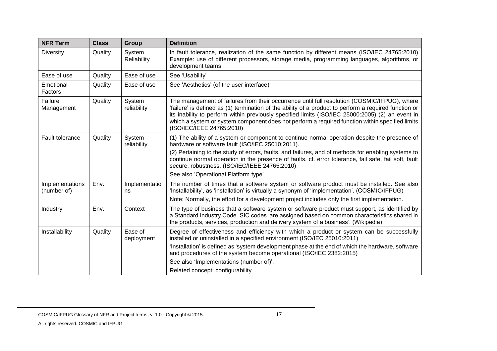| <b>NFR Term</b>                | <b>Class</b> | Group                 | <b>Definition</b>                                                                                                                                                                                                                                                                                                                                                                                                                         |
|--------------------------------|--------------|-----------------------|-------------------------------------------------------------------------------------------------------------------------------------------------------------------------------------------------------------------------------------------------------------------------------------------------------------------------------------------------------------------------------------------------------------------------------------------|
| <b>Diversity</b>               | Quality      | System<br>Reliability | In fault tolerance, realization of the same function by different means (ISO/IEC 24765:2010)<br>Example: use of different processors, storage media, programming languages, algorithms, or<br>development teams.                                                                                                                                                                                                                          |
| Ease of use                    | Quality      | Ease of use           | See 'Usability'                                                                                                                                                                                                                                                                                                                                                                                                                           |
| Emotional<br>Factors           | Quality      | Ease of use           | See 'Aesthetics' (of the user interface)                                                                                                                                                                                                                                                                                                                                                                                                  |
| Failure<br>Management          | Quality      | System<br>reliability | The management of failures from their occurrence until full resolution (COSMIC/IFPUG), where<br>'failure' is defined as (1) termination of the ability of a product to perform a required function or<br>its inability to perform within previously specified limits (ISO/IEC 25000:2005) (2) an event in<br>which a system or system component does not perform a required function within specified limits<br>(ISO/IEC/IEEE 24765:2010) |
| Fault tolerance                | Quality      | System<br>reliability | (1) The ability of a system or component to continue normal operation despite the presence of<br>hardware or software fault (ISO/IEC 25010:2011).<br>(2) Pertaining to the study of errors, faults, and failures, and of methods for enabling systems to<br>continue normal operation in the presence of faults. cf. error tolerance, fail safe, fail soft, fault                                                                         |
|                                |              |                       | secure, robustness. (ISO/IEC/IEEE 24765:2010)<br>See also 'Operational Platform type'                                                                                                                                                                                                                                                                                                                                                     |
| Implementations<br>(number of) | Env.         | Implementatio<br>ns   | The number of times that a software system or software product must be installed. See also<br>'Installability', as 'installation' is virtually a synonym of 'implementation'. (COSMIC/IFPUG)                                                                                                                                                                                                                                              |
|                                |              |                       | Note: Normally, the effort for a development project includes only the first implementation.                                                                                                                                                                                                                                                                                                                                              |
| Industry                       | Env.         | Context               | The type of business that a software system or software product must support, as identified by<br>a Standard Industry Code. SIC codes 'are assigned based on common characteristics shared in<br>the products, services, production and delivery system of a business'. (Wikipedia)                                                                                                                                                       |
| Installability                 | Quality      | Ease of<br>deployment | Degree of effectiveness and efficiency with which a product or system can be successfully<br>installed or uninstalled in a specified environment (ISO/IEC 25010:2011)<br>'Installation' is defined as 'system development phase at the end of which the hardware, software<br>and procedures of the system become operational (ISO/IEC 2382:2015)<br>See also 'Implementations (number of)'.                                              |
|                                |              |                       | Related concept: configurability                                                                                                                                                                                                                                                                                                                                                                                                          |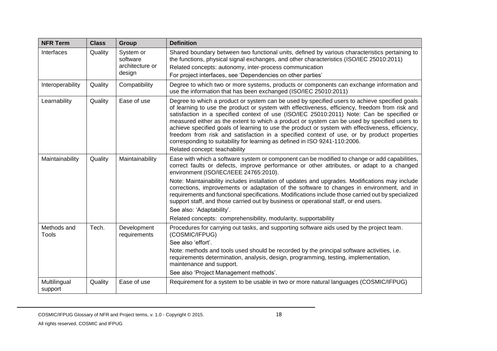| <b>NFR Term</b>         | <b>Class</b> | Group                                              | <b>Definition</b>                                                                                                                                                                                                                                                                                                                                                                                                                                                                                                                                                                                                                                                                                             |
|-------------------------|--------------|----------------------------------------------------|---------------------------------------------------------------------------------------------------------------------------------------------------------------------------------------------------------------------------------------------------------------------------------------------------------------------------------------------------------------------------------------------------------------------------------------------------------------------------------------------------------------------------------------------------------------------------------------------------------------------------------------------------------------------------------------------------------------|
| Interfaces              | Quality      | System or<br>software<br>architecture or<br>design | Shared boundary between two functional units, defined by various characteristics pertaining to<br>the functions, physical signal exchanges, and other characteristics (ISO/IEC 25010:2011)<br>Related concepts: autonomy, inter-process communication<br>For project interfaces, see 'Dependencies on other parties'                                                                                                                                                                                                                                                                                                                                                                                          |
| Interoperability        | Quality      | Compatibility                                      | Degree to which two or more systems, products or components can exchange information and<br>use the information that has been exchanged (ISO/IEC 25010:2011)                                                                                                                                                                                                                                                                                                                                                                                                                                                                                                                                                  |
| Learnability            | Quality      | Ease of use                                        | Degree to which a product or system can be used by specified users to achieve specified goals<br>of learning to use the product or system with effectiveness, efficiency, freedom from risk and<br>satisfaction in a specified context of use (ISO/IEC 25010:2011) Note: Can be specified or<br>measured either as the extent to which a product or system can be used by specified users to<br>achieve specified goals of learning to use the product or system with effectiveness, efficiency,<br>freedom from risk and satisfaction in a specified context of use, or by product properties<br>corresponding to suitability for learning as defined in ISO 9241-110:2006.<br>Related concept: teachability |
| Maintainability         | Quality      | Maintainability                                    | Ease with which a software system or component can be modified to change or add capabilities,<br>correct faults or defects, improve performance or other attributes, or adapt to a changed<br>environment (ISO/IEC/IEEE 24765:2010).                                                                                                                                                                                                                                                                                                                                                                                                                                                                          |
|                         |              |                                                    | Note: Maintainability includes installation of updates and upgrades. Modifications may include<br>corrections, improvements or adaptation of the software to changes in environment, and in<br>requirements and functional specifications. Modifications include those carried out by specialized<br>support staff, and those carried out by business or operational staff, or end users.                                                                                                                                                                                                                                                                                                                     |
|                         |              |                                                    | See also: 'Adaptability'.                                                                                                                                                                                                                                                                                                                                                                                                                                                                                                                                                                                                                                                                                     |
|                         |              |                                                    | Related concepts: comprehensibility, modularity, supportability                                                                                                                                                                                                                                                                                                                                                                                                                                                                                                                                                                                                                                               |
| Methods and<br>Tools    | Tech.        | Development<br>requirements                        | Procedures for carrying out tasks, and supporting software aids used by the project team.<br>(COSMIC/IFPUG)                                                                                                                                                                                                                                                                                                                                                                                                                                                                                                                                                                                                   |
|                         |              |                                                    | See also 'effort'.                                                                                                                                                                                                                                                                                                                                                                                                                                                                                                                                                                                                                                                                                            |
|                         |              |                                                    | Note: methods and tools used should be recorded by the principal software activities, i.e.<br>requirements determination, analysis, design, programming, testing, implementation,<br>maintenance and support.                                                                                                                                                                                                                                                                                                                                                                                                                                                                                                 |
|                         |              |                                                    | See also 'Project Management methods'.                                                                                                                                                                                                                                                                                                                                                                                                                                                                                                                                                                                                                                                                        |
| Multilingual<br>support | Quality      | Ease of use                                        | Requirement for a system to be usable in two or more natural languages (COSMIC/IFPUG)                                                                                                                                                                                                                                                                                                                                                                                                                                                                                                                                                                                                                         |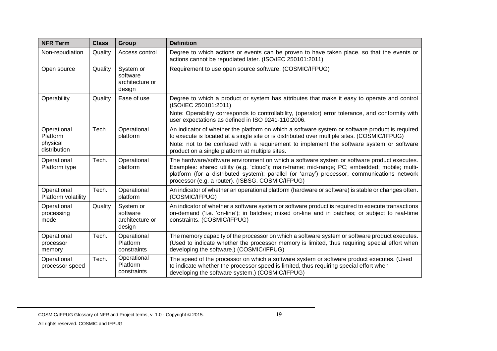| <b>NFR Term</b>                                     | <b>Class</b> | Group                                              | <b>Definition</b>                                                                                                                                                                                                                                                                                                                              |
|-----------------------------------------------------|--------------|----------------------------------------------------|------------------------------------------------------------------------------------------------------------------------------------------------------------------------------------------------------------------------------------------------------------------------------------------------------------------------------------------------|
| Non-repudiation                                     | Quality      | Access control                                     | Degree to which actions or events can be proven to have taken place, so that the events or<br>actions cannot be repudiated later. (ISO/IEC 250101:2011)                                                                                                                                                                                        |
| Open source                                         | Quality      | System or<br>software<br>architecture or<br>design | Requirement to use open source software. (COSMIC/IFPUG)                                                                                                                                                                                                                                                                                        |
| Operability                                         | Quality      | Ease of use                                        | Degree to which a product or system has attributes that make it easy to operate and control<br>(ISO/IEC 250101:2011)<br>Note: Operability corresponds to controllability, (operator) error tolerance, and conformity with<br>user expectations as defined in ISO 9241-110:2006.                                                                |
| Operational<br>Platform<br>physical<br>distribution | Tech.        | Operational<br>platform                            | An indicator of whether the platform on which a software system or software product is required<br>to execute is located at a single site or is distributed over multiple sites. (COSMIC/IFPUG)<br>Note: not to be confused with a requirement to implement the software system or software<br>product on a single platform at multiple sites. |
| Operational<br>Platform type                        | Tech.        | Operational<br>platform                            | The hardware/software environment on which a software system or software product executes.<br>Examples: shared utility (e.g. 'cloud'); main-frame; mid-range; PC; embedded; mobile; multi-<br>platform (for a distributed system); parallel (or 'array') processor, communications network<br>processor (e.g. a router). (ISBSG, COSMIC/IFPUG) |
| Operational<br>Platform volatility                  | Tech.        | Operational<br>platform                            | An indicator of whether an operational platform (hardware or software) is stable or changes often.<br>(COSMIC/IFPUG)                                                                                                                                                                                                                           |
| Operational<br>processing<br>mode                   | Quality      | System or<br>software<br>architecture or<br>design | An indicator of whether a software system or software product is required to execute transactions<br>on-demand ('i.e. 'on-line'); in batches; mixed on-line and in batches; or subject to real-time<br>constraints. (COSMIC/IFPUG)                                                                                                             |
| Operational<br>processor<br>memory                  | Tech.        | Operational<br>Platform<br>constraints             | The memory capacity of the processor on which a software system or software product executes.<br>(Used to indicate whether the processor memory is limited, thus requiring special effort when<br>developing the software.) (COSMIC/IFPUG)                                                                                                     |
| Operational<br>processor speed                      | Tech.        | Operational<br>Platform<br>constraints             | The speed of the processor on which a software system or software product executes. (Used<br>to indicate whether the processor speed is limited, thus requiring special effort when<br>developing the software system.) (COSMIC/IFPUG)                                                                                                         |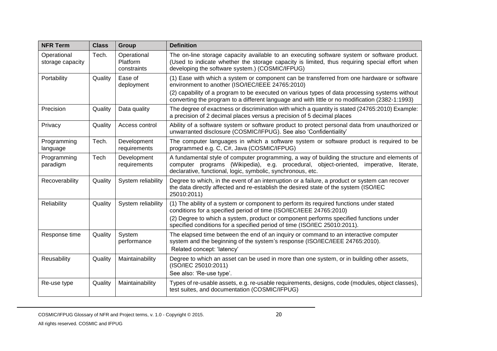| <b>NFR Term</b>                 | <b>Class</b><br><b>Definition</b><br>Group |                                        |                                                                                                                                                                                                                                                         |
|---------------------------------|--------------------------------------------|----------------------------------------|---------------------------------------------------------------------------------------------------------------------------------------------------------------------------------------------------------------------------------------------------------|
| Operational<br>storage capacity | Tech.                                      | Operational<br>Platform<br>constraints | The on-line storage capacity available to an executing software system or software product.<br>(Used to indicate whether the storage capacity is limited, thus requiring special effort when<br>developing the software system.) (COSMIC/IFPUG)         |
| Portability                     | Quality                                    | Ease of<br>deployment                  | (1) Ease with which a system or component can be transferred from one hardware or software<br>environment to another (ISO/IEC/IEEE 24765:2010)<br>(2) capability of a program to be executed on various types of data processing systems without        |
|                                 |                                            |                                        | converting the program to a different language and with little or no modification (2382-1:1993)                                                                                                                                                         |
| Precision                       | Quality                                    | Data quality                           | The degree of exactness or discrimination with which a quantity is stated (24765:2010) Example:<br>a precision of 2 decimal places versus a precision of 5 decimal places                                                                               |
| Privacy                         | Quality                                    | Access control                         | Ability of a software system or software product to protect personal data from unauthorized or<br>unwarranted disclosure (COSMIC/IFPUG). See also 'Confidentiality'                                                                                     |
| Programming<br>language         | Tech.                                      | Development<br>requirements            | The computer languages in which a software system or software product is required to be<br>programmed e.g. C, C#, Java (COSMIC/IFPUG)                                                                                                                   |
| Programming<br>paradigm         | Tech                                       | Development<br>requirements            | A fundamental style of computer programming, a way of building the structure and elements of<br>computer programs (Wikipedia), e.g. procedural, object-oriented, imperative, literate,<br>declarative, functional, logic, symbolic, synchronous, etc.   |
| Recoverability                  | Quality                                    | System reliability                     | Degree to which, in the event of an interruption or a failure, a product or system can recover<br>the data directly affected and re-establish the desired state of the system (ISO/IEC<br>25010:2011)                                                   |
| Reliability                     | Quality                                    | System reliability                     | (1) The ability of a system or component to perform its required functions under stated<br>conditions for a specified period of time (ISO/IEC/IEEE 24765:2010)<br>(2) Degree to which a system, product or component performs specified functions under |
|                                 |                                            |                                        | specified conditions for a specified period of time (ISO/IEC 25010:2011).                                                                                                                                                                               |
| Response time                   | Quality                                    | System<br>performance                  | The elapsed time between the end of an inquiry or command to an interactive computer<br>system and the beginning of the system's response (ISO/IEC/IEEE 24765:2010).<br>Related concept: 'latency'                                                      |
| Reusability                     | Quality                                    | Maintainability                        | Degree to which an asset can be used in more than one system, or in building other assets,<br>(ISO/IEC 25010:2011)<br>See also: 'Re-use type'.                                                                                                          |
| Re-use type                     | Quality                                    | Maintainability                        | Types of re-usable assets, e.g. re-usable requirements, designs, code (modules, object classes),<br>test suites, and documentation (COSMIC/IFPUG)                                                                                                       |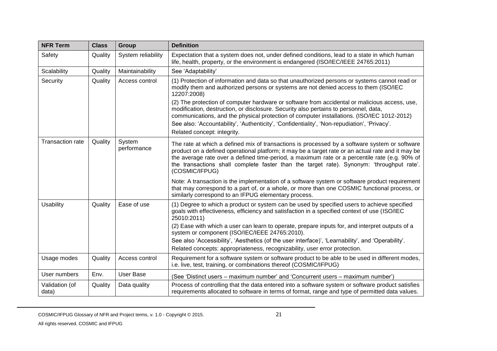| <b>NFR Term</b>         | <b>Class</b> | Group                 | <b>Definition</b>                                                                                                                                                                                                                                                                                                                                                                                                   |
|-------------------------|--------------|-----------------------|---------------------------------------------------------------------------------------------------------------------------------------------------------------------------------------------------------------------------------------------------------------------------------------------------------------------------------------------------------------------------------------------------------------------|
| Safety                  | Quality      | System reliability    | Expectation that a system does not, under defined conditions, lead to a state in which human<br>life, health, property, or the environment is endangered (ISO/IEC/IEEE 24765:2011)                                                                                                                                                                                                                                  |
| Scalability             | Quality      | Maintainability       | See 'Adaptability'                                                                                                                                                                                                                                                                                                                                                                                                  |
| Security                | Quality      | Access control        | (1) Protection of information and data so that unauthorized persons or systems cannot read or<br>modify them and authorized persons or systems are not denied access to them (ISO/IEC<br>12207:2008)<br>(2) The protection of computer hardware or software from accidental or malicious access, use,                                                                                                               |
|                         |              |                       | modification, destruction, or disclosure. Security also pertains to personnel, data,<br>communications, and the physical protection of computer installations. (ISO/IEC 1012-2012)<br>See also: 'Accountability', 'Authenticity', 'Confidentiality', 'Non-repudiation', 'Privacy'.<br>Related concept: integrity.                                                                                                   |
| <b>Transaction rate</b> | Quality      | System<br>performance | The rate at which a defined mix of transactions is processed by a software system or software<br>product on a defined operational platform; it may be a target rate or an actual rate and it may be<br>the average rate over a defined time-period, a maximum rate or a percentile rate (e.g. 90% of<br>the transactions shall complete faster than the target rate). Synonym: 'throughput rate'.<br>(COSMIC/IFPUG) |
|                         |              |                       | Note: A transaction is the implementation of a software system or software product requirement<br>that may correspond to a part of, or a whole, or more than one COSMIC functional process, or<br>similarly correspond to an IFPUG elementary process.                                                                                                                                                              |
| <b>Usability</b>        | Quality      | Ease of use           | (1) Degree to which a product or system can be used by specified users to achieve specified<br>goals with effectiveness, efficiency and satisfaction in a specified context of use (ISO/IEC<br>25010:2011)                                                                                                                                                                                                          |
|                         |              |                       | (2) Ease with which a user can learn to operate, prepare inputs for, and interpret outputs of a<br>system or component (ISO/IEC/IEEE 24765:2010).                                                                                                                                                                                                                                                                   |
|                         |              |                       | See also 'Accessibility', 'Aesthetics (of the user interface)', 'Learnability', and 'Operability'.                                                                                                                                                                                                                                                                                                                  |
|                         |              |                       | Related concepts: appropriateness, recognizability, user error protection.                                                                                                                                                                                                                                                                                                                                          |
| Usage modes             | Quality      | Access control        | Requirement for a software system or software product to be able to be used in different modes,<br>i.e. live, test, training, or combinations thereof (COSMIC/IFPUG)                                                                                                                                                                                                                                                |
| User numbers            | Env.         | <b>User Base</b>      | (See 'Distinct users – maximum number' and 'Concurrent users – maximum number')                                                                                                                                                                                                                                                                                                                                     |
| Validation (of<br>data) | Quality      | Data quality          | Process of controlling that the data entered into a software system or software product satisfies<br>requirements allocated to software in terms of format, range and type of permitted data values.                                                                                                                                                                                                                |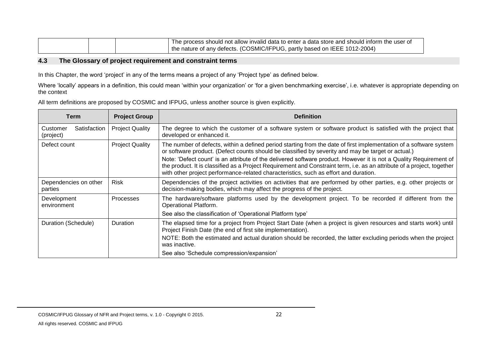|  | The process should not allow invalid data to enter a data store and should inform the user of |
|--|-----------------------------------------------------------------------------------------------|
|  | I the nature of any defects. (COSMIC/IFPUG, partly based on IEEE 1012-2004)                   |

#### **4.3 The Glossary of project requirement and constraint terms**

In this Chapter, the word 'project' in any of the terms means a project of any 'Project type' as defined below.

Where 'locally' appears in a definition, this could mean 'within your organization' or 'for a given benchmarking exercise', i.e. whatever is appropriate depending on the context

All term definitions are proposed by COSMIC and IFPUG, unless another source is given explicitly.

<span id="page-26-0"></span>

| <b>Term</b>                           | <b>Project Group</b>   | <b>Definition</b>                                                                                                                                                                                                                                                                                                                                                                                                                                                                                                                                                 |
|---------------------------------------|------------------------|-------------------------------------------------------------------------------------------------------------------------------------------------------------------------------------------------------------------------------------------------------------------------------------------------------------------------------------------------------------------------------------------------------------------------------------------------------------------------------------------------------------------------------------------------------------------|
| Satisfaction<br>Customer<br>(project) | <b>Project Quality</b> | The degree to which the customer of a software system or software product is satisfied with the project that<br>developed or enhanced it.                                                                                                                                                                                                                                                                                                                                                                                                                         |
| Defect count                          | <b>Project Quality</b> | The number of defects, within a defined period starting from the date of first implementation of a software system<br>or software product. (Defect counts should be classified by severity and may be target or actual.)<br>Note: 'Defect count' is an attribute of the delivered software product. However it is not a Quality Requirement of<br>the product. It is classified as a Project Requirement and Constraint term, i.e. as an attribute of a project, together<br>with other project performance-related characteristics, such as effort and duration. |
| Dependencies on other<br>parties      | <b>Risk</b>            | Dependencies of the project activities on activities that are performed by other parties, e.g. other projects or<br>decision-making bodies, which may affect the progress of the project.                                                                                                                                                                                                                                                                                                                                                                         |
| Development<br>environment            | Processes              | The hardware/software platforms used by the development project. To be recorded if different from the<br>Operational Platform.<br>See also the classification of 'Operational Platform type'                                                                                                                                                                                                                                                                                                                                                                      |
| Duration (Schedule)                   | <b>Duration</b>        | The elapsed time for a project from Project Start Date (when a project is given resources and starts work) until<br>Project Finish Date (the end of first site implementation).<br>NOTE: Both the estimated and actual duration should be recorded, the latter excluding periods when the project<br>was inactive.                                                                                                                                                                                                                                                |
|                                       |                        | See also 'Schedule compression/expansion'                                                                                                                                                                                                                                                                                                                                                                                                                                                                                                                         |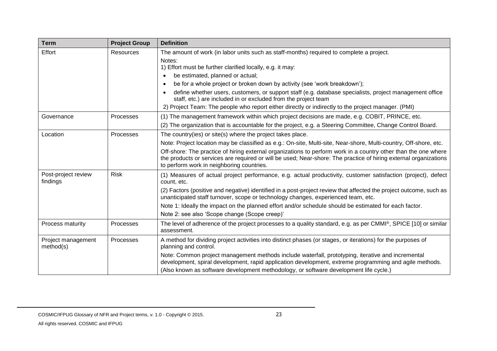| <b>Term</b>                     | <b>Project Group</b> | <b>Definition</b>                                                                                                                                                                                                                                                                                                                                                                                                                                                                                 |
|---------------------------------|----------------------|---------------------------------------------------------------------------------------------------------------------------------------------------------------------------------------------------------------------------------------------------------------------------------------------------------------------------------------------------------------------------------------------------------------------------------------------------------------------------------------------------|
| Effort                          | <b>Resources</b>     | The amount of work (in labor units such as staff-months) required to complete a project.<br>Notes:<br>1) Effort must be further clarified locally, e.g. it may:<br>be estimated, planned or actual;<br>be for a whole project or broken down by activity (see 'work breakdown');<br>$\bullet$                                                                                                                                                                                                     |
|                                 |                      | define whether users, customers, or support staff (e.g. database specialists, project management office<br>staff, etc.) are included in or excluded from the project team<br>2) Project Team: The people who report either directly or indirectly to the project manager. (PMI)                                                                                                                                                                                                                   |
| Governance                      | Processes            | (1) The management framework within which project decisions are made, e.g. COBIT, PRINCE, etc.<br>(2) The organization that is accountable for the project, e.g. a Steering Committee, Change Control Board.                                                                                                                                                                                                                                                                                      |
| Location                        | Processes            | The country(ies) or site(s) where the project takes place.<br>Note: Project location may be classified as e.g.: On-site, Multi-site, Near-shore, Multi-country, Off-shore, etc.<br>Off-shore: The practice of hiring external organizations to perform work in a country other than the one where<br>the products or services are required or will be used; Near-shore: The practice of hiring external organizations<br>to perform work in neighboring countries.                                |
| Post-project review<br>findings | <b>Risk</b>          | (1) Measures of actual project performance, e.g. actual productivity, customer satisfaction (project), defect<br>count, etc.<br>(2) Factors (positive and negative) identified in a post-project review that affected the project outcome, such as<br>unanticipated staff turnover, scope or technology changes, experienced team, etc.<br>Note 1: Ideally the impact on the planned effort and/or schedule should be estimated for each factor.<br>Note 2: see also 'Scope change (Scope creep)' |
| Process maturity                | Processes            | The level of adherence of the project processes to a quality standard, e.g. as per CMMI®, SPICE [10] or similar<br>assessment.                                                                                                                                                                                                                                                                                                                                                                    |
| Project management<br>method(s) | Processes            | A method for dividing project activities into distinct phases (or stages, or iterations) for the purposes of<br>planning and control.<br>Note: Common project management methods include waterfall, prototyping, iterative and incremental<br>development, spiral development, rapid application development, extreme programming and agile methods.<br>(Also known as software development methodology, or software development life cycle.)                                                     |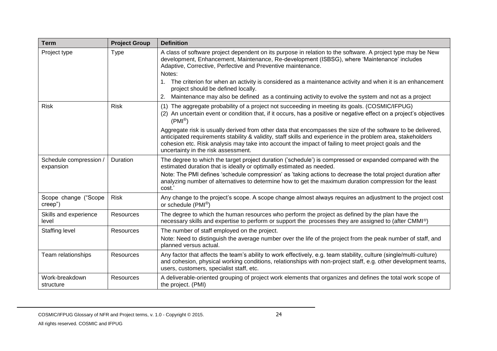| <b>Term</b>                         | <b>Project Group</b> | <b>Definition</b>                                                                                                                                                                                                                                                                                                                                                            |
|-------------------------------------|----------------------|------------------------------------------------------------------------------------------------------------------------------------------------------------------------------------------------------------------------------------------------------------------------------------------------------------------------------------------------------------------------------|
| Project type                        | Type                 | A class of software project dependent on its purpose in relation to the software. A project type may be New<br>development, Enhancement, Maintenance, Re-development (ISBSG), where 'Maintenance' includes<br>Adaptive, Corrective, Perfective and Preventive maintenance.<br>Notes:                                                                                         |
|                                     |                      | The criterion for when an activity is considered as a maintenance activity and when it is an enhancement<br>project should be defined locally.                                                                                                                                                                                                                               |
|                                     |                      | Maintenance may also be defined as a continuing activity to evolve the system and not as a project<br>2.                                                                                                                                                                                                                                                                     |
| <b>Risk</b>                         | <b>Risk</b>          | (1) The aggregate probability of a project not succeeding in meeting its goals. (COSMIC/IFPUG)<br>(2) An uncertain event or condition that, if it occurs, has a positive or negative effect on a project's objectives<br>$(PMI^{\circledR})$                                                                                                                                 |
|                                     |                      | Aggregate risk is usually derived from other data that encompasses the size of the software to be delivered,<br>anticipated requirements stability & validity, staff skills and experience in the problem area, stakeholders<br>cohesion etc. Risk analysis may take into account the impact of failing to meet project goals and the<br>uncertainty in the risk assessment. |
| Schedule compression /<br>expansion | Duration             | The degree to which the target project duration ('schedule') is compressed or expanded compared with the<br>estimated duration that is ideally or optimally estimated as needed.                                                                                                                                                                                             |
|                                     |                      | Note: The PMI defines 'schedule compression' as 'taking actions to decrease the total project duration after<br>analyzing number of alternatives to determine how to get the maximum duration compression for the least<br>cost.'                                                                                                                                            |
| Scope change ("Scope<br>creep")     | <b>Risk</b>          | Any change to the project's scope. A scope change almost always requires an adjustment to the project cost<br>or schedule (PMI®)                                                                                                                                                                                                                                             |
| Skills and experience<br>level      | Resources            | The degree to which the human resources who perform the project as defined by the plan have the<br>necessary skills and expertise to perform or support the processes they are assigned to (after CMMI®)                                                                                                                                                                     |
| <b>Staffing level</b>               | Resources            | The number of staff employed on the project.<br>Note: Need to distinguish the average number over the life of the project from the peak number of staff, and<br>planned versus actual.                                                                                                                                                                                       |
| Team relationships                  | Resources            | Any factor that affects the team's ability to work effectively, e.g. team stability, culture (single/multi-culture)<br>and cohesion, physical working conditions, relationships with non-project staff, e.g. other development teams,<br>users, customers, specialist staff, etc.                                                                                            |
| Work-breakdown<br>structure         | Resources            | A deliverable-oriented grouping of project work elements that organizes and defines the total work scope of<br>the project. (PMI)                                                                                                                                                                                                                                            |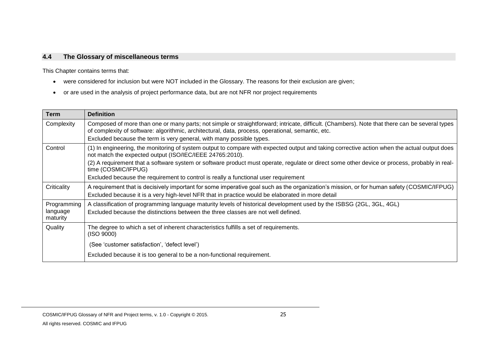# **4.4 The Glossary of miscellaneous terms**

This Chapter contains terms that:

- were considered for inclusion but were NOT included in the Glossary. The reasons for their exclusion are given;
- or are used in the analysis of project performance data, but are not NFR nor project requirements

<span id="page-29-0"></span>

| <b>Term</b>          | <b>Definition</b>                                                                                                                                                                                                                                   |
|----------------------|-----------------------------------------------------------------------------------------------------------------------------------------------------------------------------------------------------------------------------------------------------|
| Complexity           | Composed of more than one or many parts; not simple or straightforward; intricate, difficult. (Chambers). Note that there can be several types<br>of complexity of software: algorithmic, architectural, data, process, operational, semantic, etc. |
|                      | Excluded because the term is very general, with many possible types.                                                                                                                                                                                |
| Control              | (1) In engineering, the monitoring of system output to compare with expected output and taking corrective action when the actual output does<br>not match the expected output (ISO/IEC/IEEE 24765:2010).                                            |
|                      | (2) A requirement that a software system or software product must operate, regulate or direct some other device or process, probably in real-<br>time (COSMIC/IFPUG)                                                                                |
|                      | Excluded because the requirement to control is really a functional user requirement                                                                                                                                                                 |
| Criticality          | A requirement that is decisively important for some imperative goal such as the organization's mission, or for human safety (COSMIC/IFPUG)                                                                                                          |
|                      | Excluded because it is a very high-level NFR that in practice would be elaborated in more detail                                                                                                                                                    |
| Programming          | A classification of programming language maturity levels of historical development used by the ISBSG (2GL, 3GL, 4GL)                                                                                                                                |
| language<br>maturity | Excluded because the distinctions between the three classes are not well defined.                                                                                                                                                                   |
| Quality              | The degree to which a set of inherent characteristics fulfills a set of requirements.<br>(ISO 9000)                                                                                                                                                 |
|                      | (See 'customer satisfaction', 'defect level')                                                                                                                                                                                                       |
|                      | Excluded because it is too general to be a non-functional requirement.                                                                                                                                                                              |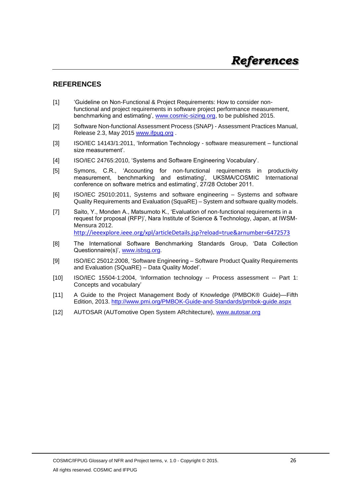# <span id="page-30-0"></span>**REFERENCES**

- [1] 'Guideline on Non-Functional & Project Requirements: How to consider nonfunctional and project requirements in software project performance measurement, benchmarking and estimating', [www.cosmic-sizing.org,](http://www.cosmic-sizing.org/) to be published 2015.
- [2] Software Non-functional Assessment Process (SNAP) Assessment Practices Manual, Release 2.3, May 2015 [www.ifpug.org](http://www.ifpug.org/) .
- [3] ISO/IEC 14143/1:2011, 'Information Technology software measurement functional size measurement'.
- [4] ISO/IEC 24765:2010, 'Systems and Software Engineering Vocabulary'.
- [5] Symons, C.R., 'Accounting for non-functional requirements in productivity measurement, benchmarking and estimating', UKSMA/COSMIC International conference on software metrics and estimating', 27/28 October 2011.
- [6] ISO/IEC 25010:2011, Systems and software engineering Systems and software Quality Requirements and Evaluation (SquaRE) – System and software quality models.
- [7] Saito, Y., Monden A., Matsumoto K., 'Evaluation of non-functional requirements in a request for proposal (RFP)', Nara Institute of Science & Technology, Japan, at IWSM-Mensura 2012. <http://ieeexplore.ieee.org/xpl/articleDetails.jsp?reload=true&arnumber=6472573>

- [8] The International Software Benchmarking Standards Group, 'Data Collection Questionnaire(s)', [www.isbsg.org.](http://www.isbsg.org/)
- [9] ISO/IEC 25012:2008, 'Software Engineering Software Product Quality Requirements and Evaluation (SQuaRE) – Data Quality Model'.
- [10] ISO/IEC 15504-1:2004, 'Information technology -- Process assessment -- Part 1: Concepts and vocabulary'
- [11] A Guide to the Project Management Body of Knowledge (PMBOK® Guide)—Fifth Edition, 2013. <http://www.pmi.org/PMBOK-Guide-and-Standards/pmbok-guide.aspx>
- [12] AUTOSAR (AUTomotive Open System ARchitecture), [www.autosar.org](http://www.autosar.org/)